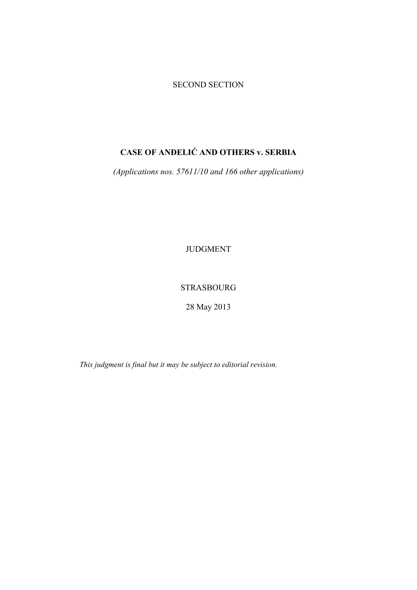# SECOND SECTION

# **CASE OF ANĐELIĆ AND OTHERS v. SERBIA**

*(Applications nos. 57611/10 and 166 other applications)* 

JUDGMENT

STRASBOURG

28 May 2013

*This judgment is final but it may be subject to editorial revision.*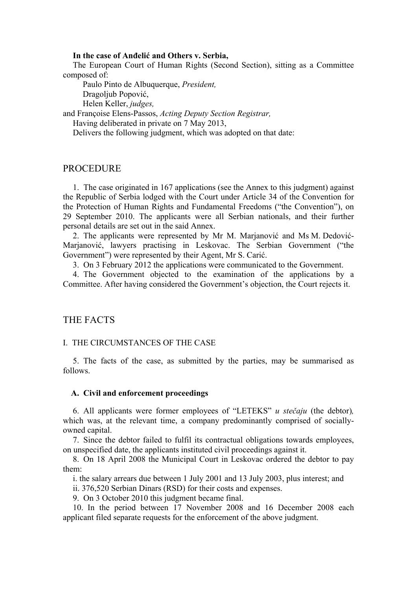#### **In the case of Anđelić and Others v. Serbia,**

The European Court of Human Rights (Second Section), sitting as a Committee composed of:

 Paulo Pinto de Albuquerque, *President,*  Dragoljub Popović, Helen Keller, *judges,*

and Françoise Elens-Passos, *Acting Deputy Section Registrar,* 

Having deliberated in private on 7 May 2013,

Delivers the following judgment, which was adopted on that date:

# PROCEDURE

1. The case originated in 167 applications (see the Annex to this judgment) against the Republic of Serbia lodged with the Court under Article 34 of the Convention for the Protection of Human Rights and Fundamental Freedoms ("the Convention"), on 29 September 2010. The applicants were all Serbian nationals, and their further personal details are set out in the said Annex.

2. The applicants were represented by Mr M. Marjanović and Ms M. Dedović-Marjanović, lawyers practising in Leskovac. The Serbian Government ("the Government") were represented by their Agent, Mr S. Carić.

3. On 3 February 2012 the applications were communicated to the Government.

4. The Government objected to the examination of the applications by a Committee. After having considered the Government's objection, the Court rejects it.

# THE FACTS

### I. THE CIRCUMSTANCES OF THE CASE

5. The facts of the case, as submitted by the parties, may be summarised as follows.

#### **A. Civil and enforcement proceedings**

6. All applicants were former employees of "LETEKS" *u stečaju* (the debtor)*,*  which was, at the relevant time, a company predominantly comprised of sociallyowned capital.

7. Since the debtor failed to fulfil its contractual obligations towards employees, on unspecified date, the applicants instituted civil proceedings against it.

8. On 18 April 2008 the Municipal Court in Leskovac ordered the debtor to pay them:

i. the salary arrears due between 1 July 2001 and 13 July 2003, plus interest; and

ii. 376,520 Serbian Dinars (RSD) for their costs and expenses.

9. On 3 October 2010 this judgment became final.

10. In the period between 17 November 2008 and 16 December 2008 each applicant filed separate requests for the enforcement of the above judgment.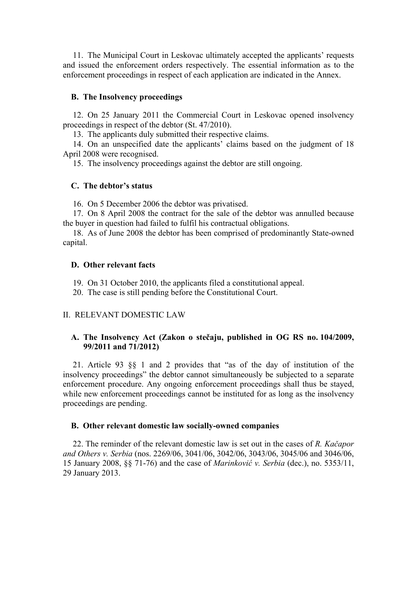11. The Municipal Court in Leskovac ultimately accepted the applicants' requests and issued the enforcement orders respectively. The essential information as to the enforcement proceedings in respect of each application are indicated in the Annex.

### **B. The Insolvency proceedings**

12. On 25 January 2011 the Commercial Court in Leskovac opened insolvency proceedings in respect of the debtor (St. 47/2010).

13. The applicants duly submitted their respective claims.

14. On an unspecified date the applicants' claims based on the judgment of 18 April 2008 were recognised.

15. The insolvency proceedings against the debtor are still ongoing.

### **C. The debtor's status**

16. On 5 December 2006 the debtor was privatised.

17. On 8 April 2008 the contract for the sale of the debtor was annulled because the buyer in question had failed to fulfil his contractual obligations.

18. As of June 2008 the debtor has been comprised of predominantly State-owned capital.

### **D. Other relevant facts**

19. On 31 October 2010, the applicants filed a constitutional appeal.

20. The case is still pending before the Constitutional Court.

### II. RELEVANT DOMESTIC LAW

### **A. The Insolvency Act (Zakon o stečaju, published in OG RS no. 104/2009, 99/2011 and 71/2012)**

21. Article 93 §§ 1 and 2 provides that "as of the day of institution of the insolvency proceedings" the debtor cannot simultaneously be subjected to a separate enforcement procedure. Any ongoing enforcement proceedings shall thus be stayed, while new enforcement proceedings cannot be instituted for as long as the insolvency proceedings are pending.

### **B. Other relevant domestic law socially-owned companies**

22. The reminder of the relevant domestic law is set out in the cases of *R. Kačapor and Others v. Serbia* (nos. 2269/06, 3041/06, 3042/06, 3043/06, 3045/06 and 3046/06, 15 January 2008, §§ 71-76) and the case of *Marinković v. Serbia* (dec.), no. 5353/11, 29 January 2013.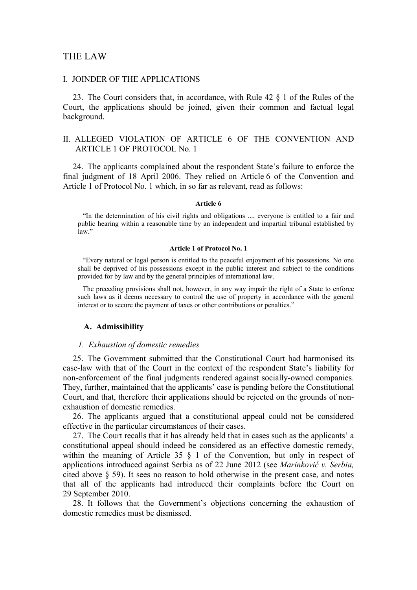### THE LAW

#### I. JOINDER OF THE APPLICATIONS

23. The Court considers that, in accordance, with Rule 42 § 1 of the Rules of the Court, the applications should be joined, given their common and factual legal background.

### II. ALLEGED VIOLATION OF ARTICLE 6 OF THE CONVENTION AND ARTICLE 1 OF PROTOCOL No. 1

24. The applicants complained about the respondent State's failure to enforce the final judgment of 18 April 2006. They relied on Article 6 of the Convention and Article 1 of Protocol No. 1 which, in so far as relevant, read as follows:

#### **Article 6**

"In the determination of his civil rights and obligations ..., everyone is entitled to a fair and public hearing within a reasonable time by an independent and impartial tribunal established by law"

#### **Article 1 of Protocol No. 1**

"Every natural or legal person is entitled to the peaceful enjoyment of his possessions. No one shall be deprived of his possessions except in the public interest and subject to the conditions provided for by law and by the general principles of international law.

The preceding provisions shall not, however, in any way impair the right of a State to enforce such laws as it deems necessary to control the use of property in accordance with the general interest or to secure the payment of taxes or other contributions or penalties."

#### **A. Admissibility**

#### *1. Exhaustion of domestic remedies*

25. The Government submitted that the Constitutional Court had harmonised its case-law with that of the Court in the context of the respondent State's liability for non-enforcement of the final judgments rendered against socially-owned companies. They, further, maintained that the applicants' case is pending before the Constitutional Court, and that, therefore their applications should be rejected on the grounds of nonexhaustion of domestic remedies.

26. The applicants argued that a constitutional appeal could not be considered effective in the particular circumstances of their cases.

27. The Court recalls that it has already held that in cases such as the applicants' a constitutional appeal should indeed be considered as an effective domestic remedy, within the meaning of Article 35 § 1 of the Convention, but only in respect of applications introduced against Serbia as of 22 June 2012 (see *Marinković v. Serbia,*  cited above § 59). It sees no reason to hold otherwise in the present case, and notes that all of the applicants had introduced their complaints before the Court on 29 September 2010.

28. It follows that the Government's objections concerning the exhaustion of domestic remedies must be dismissed.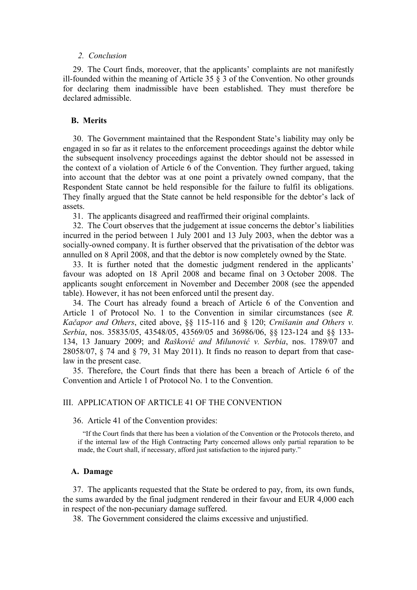#### *2. Conclusion*

29. The Court finds, moreover, that the applicants' complaints are not manifestly ill-founded within the meaning of Article 35 § 3 of the Convention. No other grounds for declaring them inadmissible have been established. They must therefore be declared admissible.

# **B. Merits**

30. The Government maintained that the Respondent State's liability may only be engaged in so far as it relates to the enforcement proceedings against the debtor while the subsequent insolvency proceedings against the debtor should not be assessed in the context of a violation of Article 6 of the Convention. They further argued, taking into account that the debtor was at one point a privately owned company, that the Respondent State cannot be held responsible for the failure to fulfil its obligations. They finally argued that the State cannot be held responsible for the debtor's lack of assets.

31. The applicants disagreed and reaffirmed their original complaints.

32. The Court observes that the judgement at issue concerns the debtor's liabilities incurred in the period between 1 July 2001 and 13 July 2003, when the debtor was a socially-owned company. It is further observed that the privatisation of the debtor was annulled on 8 April 2008, and that the debtor is now completely owned by the State.

33. It is further noted that the domestic judgment rendered in the applicants' favour was adopted on 18 April 2008 and became final on 3 October 2008. The applicants sought enforcement in November and December 2008 (see the appended table). However, it has not been enforced until the present day.

34. The Court has already found a breach of Article 6 of the Convention and Article 1 of Protocol No. 1 to the Convention in similar circumstances (see *R. Kačapor and Others*, cited above, §§ 115-116 and § 120; *Crnišanin and Others v. Serbia*, nos. 35835/05, 43548/05, 43569/05 and 36986/06, §§ 123-124 and §§ 133- 134, 13 January 2009; and *Rašković and Milunović v. Serbia*, nos. 1789/07 and 28058/07, § 74 and § 79, 31 May 2011). It finds no reason to depart from that caselaw in the present case.

35. Therefore, the Court finds that there has been a breach of Article 6 of the Convention and Article 1 of Protocol No. 1 to the Convention.

### III. APPLICATION OF ARTICLE 41 OF THE CONVENTION

#### 36. Article 41 of the Convention provides:

"If the Court finds that there has been a violation of the Convention or the Protocols thereto, and if the internal law of the High Contracting Party concerned allows only partial reparation to be made, the Court shall, if necessary, afford just satisfaction to the injured party."

#### **A. Damage**

37. The applicants requested that the State be ordered to pay, from, its own funds, the sums awarded by the final judgment rendered in their favour and EUR 4,000 each in respect of the non-pecuniary damage suffered.

38. The Government considered the claims excessive and unjustified.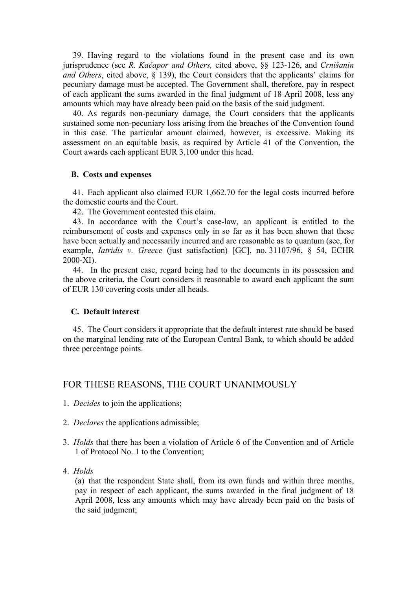39. Having regard to the violations found in the present case and its own jurisprudence (see *R. Kačapor and Others,* cited above, §§ 123-126, and *Crnišanin and Others*, cited above, § 139), the Court considers that the applicants' claims for pecuniary damage must be accepted. The Government shall, therefore, pay in respect of each applicant the sums awarded in the final judgment of 18 April 2008, less any amounts which may have already been paid on the basis of the said judgment.

40. As regards non-pecuniary damage, the Court considers that the applicants sustained some non-pecuniary loss arising from the breaches of the Convention found in this case. The particular amount claimed, however, is excessive. Making its assessment on an equitable basis, as required by Article 41 of the Convention, the Court awards each applicant EUR 3,100 under this head.

#### **B. Costs and expenses**

41. Each applicant also claimed EUR 1,662.70 for the legal costs incurred before the domestic courts and the Court.

42. The Government contested this claim.

43. In accordance with the Court's case-law, an applicant is entitled to the reimbursement of costs and expenses only in so far as it has been shown that these have been actually and necessarily incurred and are reasonable as to quantum (see, for example, *Iatridis v. Greece* (just satisfaction) [GC], no. 31107/96, § 54, ECHR 2000-XI).

44. In the present case, regard being had to the documents in its possession and the above criteria, the Court considers it reasonable to award each applicant the sum of EUR 130 covering costs under all heads.

### **C. Default interest**

45. The Court considers it appropriate that the default interest rate should be based on the marginal lending rate of the European Central Bank, to which should be added three percentage points.

# FOR THESE REASONS, THE COURT UNANIMOUSLY

- 1. *Decides* to join the applications;
- 2. *Declares* the applications admissible;
- 3. *Holds* that there has been a violation of Article 6 of the Convention and of Article 1 of Protocol No. 1 to the Convention;
- 4. *Holds*

(a) that the respondent State shall, from its own funds and within three months, pay in respect of each applicant, the sums awarded in the final judgment of 18 April 2008, less any amounts which may have already been paid on the basis of the said judgment;